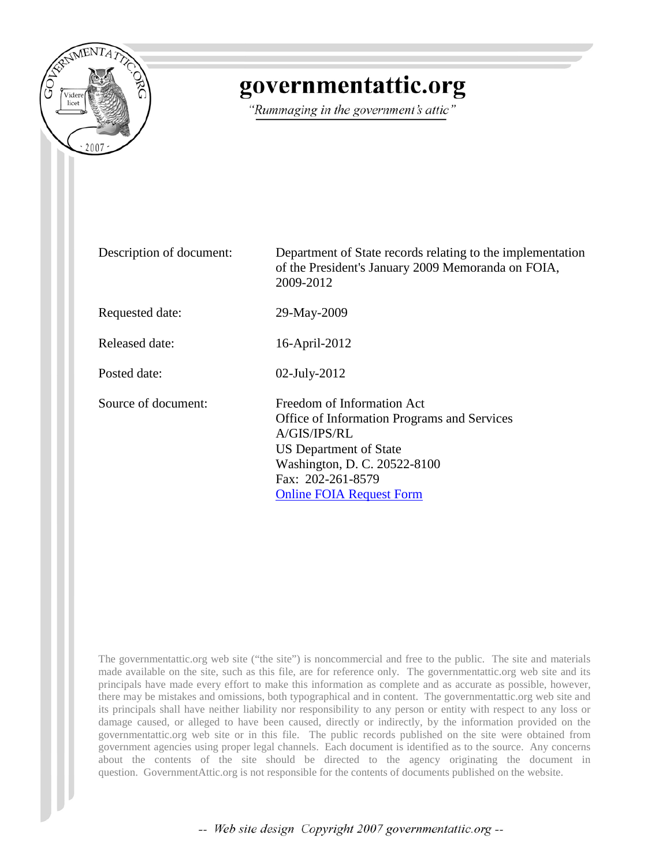

# governmentattic.org

"Rummaging in the government's attic"

| Description of document: | Department of State records relating to the implementation<br>of the President's January 2009 Memoranda on FOIA,<br>2009-2012                                                                                      |
|--------------------------|--------------------------------------------------------------------------------------------------------------------------------------------------------------------------------------------------------------------|
| Requested date:          | 29-May-2009                                                                                                                                                                                                        |
| Released date:           | 16-April-2012                                                                                                                                                                                                      |
| Posted date:             | $02$ -July-2012                                                                                                                                                                                                    |
| Source of document:      | Freedom of Information Act<br><b>Office of Information Programs and Services</b><br>A/GIS/IPS/RL<br>US Department of State<br>Washington, D. C. 20522-8100<br>Fax: 202-261-8579<br><b>Online FOIA Request Form</b> |

The governmentattic.org web site ("the site") is noncommercial and free to the public. The site and materials made available on the site, such as this file, are for reference only. The governmentattic.org web site and its principals have made every effort to make this information as complete and as accurate as possible, however, there may be mistakes and omissions, both typographical and in content. The governmentattic.org web site and its principals shall have neither liability nor responsibility to any person or entity with respect to any loss or damage caused, or alleged to have been caused, directly or indirectly, by the information provided on the governmentattic.org web site or in this file. The public records published on the site were obtained from government agencies using proper legal channels. Each document is identified as to the source. Any concerns about the contents of the site should be directed to the agency originating the document in question. GovernmentAttic.org is not responsible for the contents of documents published on the website.

-- Web site design Copyright 2007 governmentattic.org --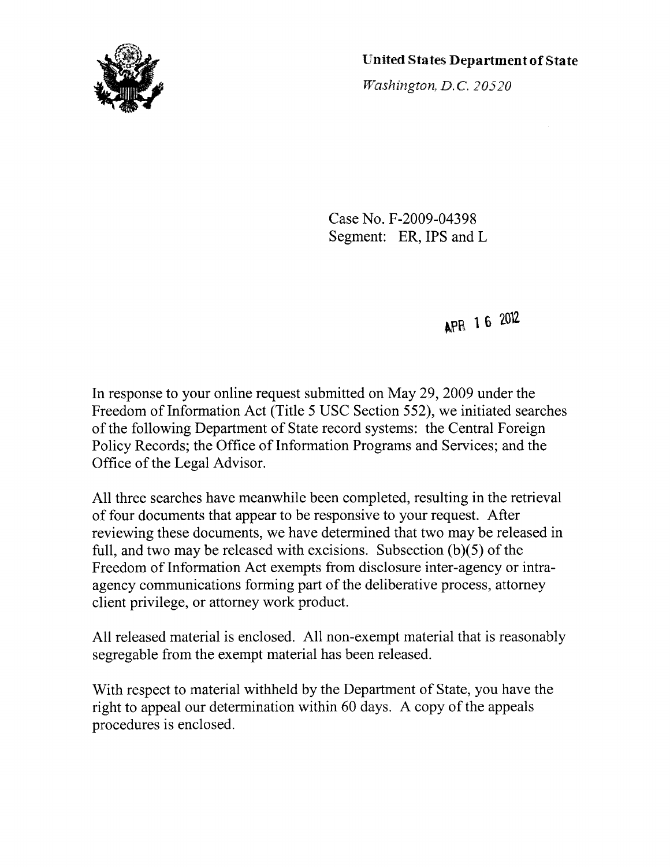

United States Department of State

Washington, D.C. 20520

Case No. F-2009-04398 Segment: ER, IPS and L

APR 1 6 2012

In response to your online request submitted on May 29, 2009 under the Freedom of Information Act (Title 5 USC Section 552), we initiated searches of the following Department of State record systems: the Central Foreign Policy Records; the Office of Information Programs and Services; and the Office of the Legal Advisor.

All three searches have meanwhile been completed, resulting in the retrieval of four documents that appear to be responsive to your request. After reviewing these documents, we have determined that two may be released in full, and two may be released with excisions. Subsection  $(b)(5)$  of the Freedom of Information Act exempts from disclosure inter-agency or intraagency communications forming part of the deliberative process, attorney client privilege, or attorney work product.

All released material is enclosed. All non-exempt material that is reasonably segregable from the exempt material has been released.

With respect to material withheld by the Department of State, you have the right to appeal our determination within 60 days. A copy of the appeals procedures is enclosed.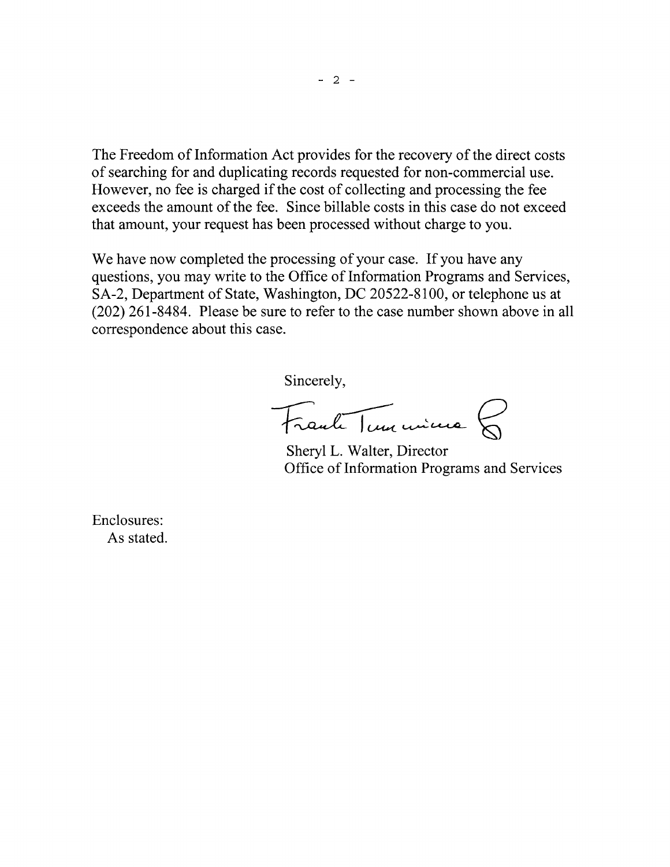The Freedom of Information Act provides for the recovery of the direct costs of searching for and duplicating records requested for non-commercial use. However, no fee is charged if the cost of collecting and processing the fee exceeds the amount of the fee. Since billable costs in this case do not exceed that amount, your request has been processed without charge to you.

We have now completed the processing of your case. If you have any questions, you may write to the Office of Information Programs and Services, SA-2, Department of State, Washington, DC 20522-8100, or telephone us at (202) 261-8484. Please be sure to refer to the case number shown above in all correspondence about this case.

Sincerely,

Frank Tun mine

Sheryl L. Walter, Director Office of Information Programs and Services

Enclosures: As stated.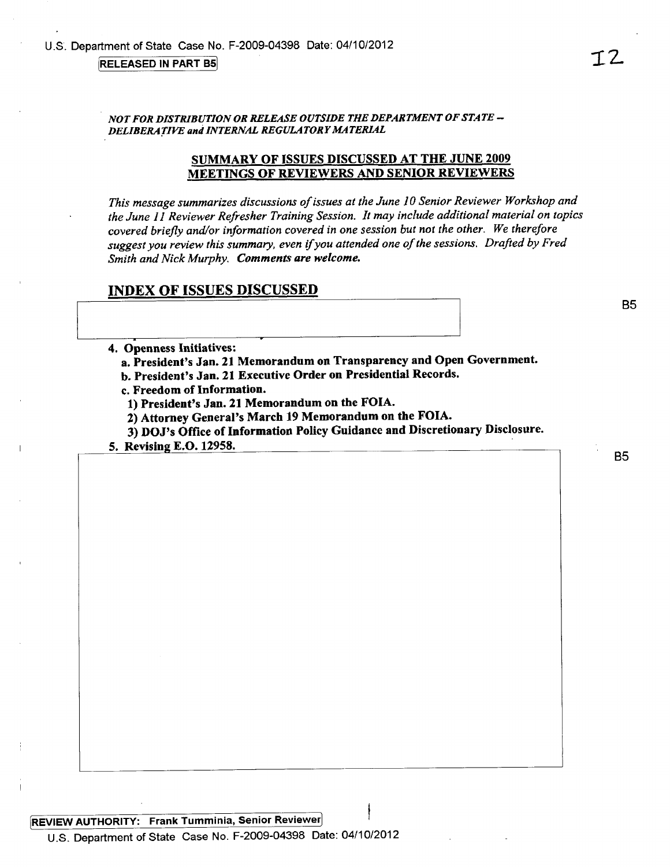NOT FOR DISTRIBUTION OR RELEASE OUTSIDE THE DEPARTMENT OF STATE -DELIBERATIVE and INTERNAL REGULATORY MATERIAL

## **SUMMARY OF ISSUES DISCUSSED AT THE JUNE 2009 MEETINGS OF REVIEWERS AND SENIOR REVIEWERS**

This message summarizes discussions of issues at the June 10 Senior Reviewer Workshop and the June 11 Reviewer Refresher Training Session. It may include additional material on topics covered briefly and/or information covered in one session but not the other. We therefore suggest you review this summary, even if you attended one of the sessions. Drafted by Fred Smith and Nick Murphy. Comments are welcome.

#### **INDEX OF ISSUES DISCUSSED**

4. Openness Initiatives:

a. President's Jan. 21 Memorandum on Transparency and Open Government.

b. President's Jan. 21 Executive Order on Presidential Records.

c. Freedom of Information.

1) President's Jan. 21 Memorandum on the FOIA.

2) Attorney General's March 19 Memorandum on the FOIA.

3) DOJ's Office of Information Policy Guidance and Discretionary Disclosure.

5. Revising E.O. 12958.

REVIEW AUTHORITY: Frank Tumminia, Senior Reviewer U.S. Department of State Case No. F-2009-04398 Date: 04/10/2012

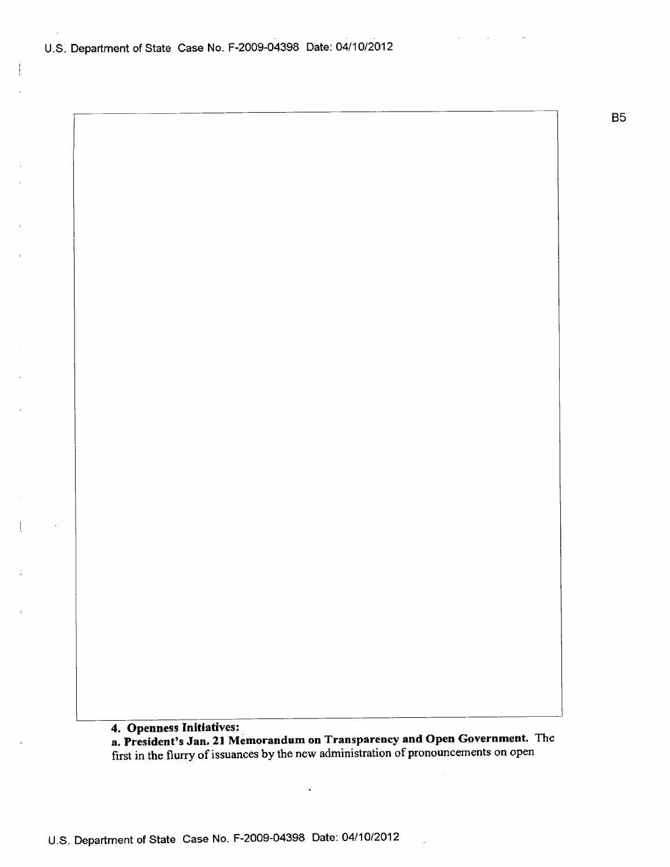U.S. Department of State Case No. F-2009-04398 Date: 04/10/2012

**B5** 

4. Openness Initiatives:

a. President's Jan. 21 Memorandum on Transparency and Open Government. The first in the flurry of issuances by the new administration of pronouncements on open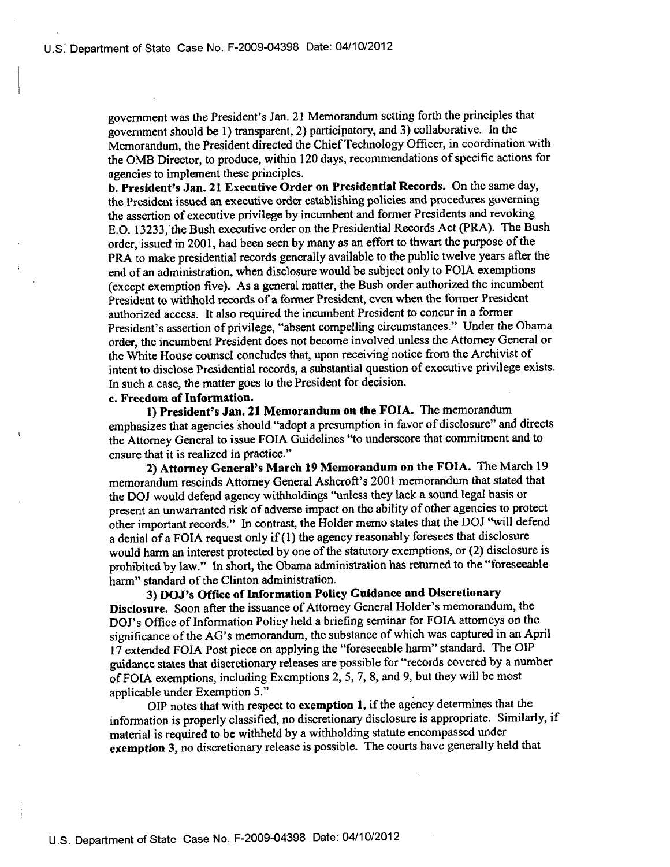government was the President's Jan. 21 Memorandum setting forth the principles that government should be 1) transparent, 2) participatory, and 3) collaborative. In the Memorandum, the President directed the Chief Technology Officer, in coordination with the OMB Director, to produce, within 120 days, recommendations of specific actions for agencies to implement these principles.

b. President's Jan. 21 Executive Order on Presidential Records. On the same day, the President issued an executive order establishing policies and procedures governing the assertion of executive privilege by incumbent and former Presidents and revoking E.O. 13233, the Bush executive order on the Presidential Records Act (PRA). The Bush order, issued in 2001, had been seen by many as an effort to thwart the purpose of the PRA to make presidential records generally available to the public twelve years after the end of an administration, when disclosure would be subject only to FOIA exemptions (except exemption five). As a general matter, the Bush order authorized the incumbent President to withhold records of a former President, even when the former President authorized access. It also required the incumbent President to concur in a former President's assertion of privilege, "absent compelling circumstances." Under the Obama order, the incumbent President does not become involved unless the Attorney General or the White House counsel concludes that, upon receiving notice from the Archivist of intent to disclose Presidential records, a substantial question of executive privilege exists. In such a case, the matter goes to the President for decision.

### c. Freedom of Information.

1) President's Jan. 21 Memorandum on the FOIA. The memorandum emphasizes that agencies should "adopt a presumption in favor of disclosure" and directs the Attorney General to issue FOIA Guidelines "to underscore that commitment and to ensure that it is realized in practice."

2) Attorney General's March 19 Memorandum on the FOIA. The March 19 memorandum rescinds Attorney General Ashcroft's 2001 memorandum that stated that the DOJ would defend agency withholdings "unless they lack a sound legal basis or present an unwarranted risk of adverse impact on the ability of other agencies to protect other important records." In contrast, the Holder memo states that the DOJ "will defend a denial of a FOIA request only if (1) the agency reasonably foresees that disclosure would harm an interest protected by one of the statutory exemptions, or (2) disclosure is prohibited by law." In short, the Obama administration has returned to the "foreseeable harm" standard of the Clinton administration.

3) DOJ's Office of Information Policy Guidance and Discretionary Disclosure. Soon after the issuance of Attorney General Holder's memorandum, the DOJ's Office of Information Policy held a briefing seminar for FOIA attorneys on the significance of the AG's memorandum, the substance of which was captured in an April 17 extended FOIA Post piece on applying the "foreseeable harm" standard. The OIP guidance states that discretionary releases are possible for "records covered by a number of FOIA exemptions, including Exemptions 2, 5, 7, 8, and 9, but they will be most applicable under Exemption 5."

OIP notes that with respect to exemption 1, if the agency determines that the information is properly classified, no discretionary disclosure is appropriate. Similarly, if material is required to be withheld by a withholding statute encompassed under exemption 3, no discretionary release is possible. The courts have generally held that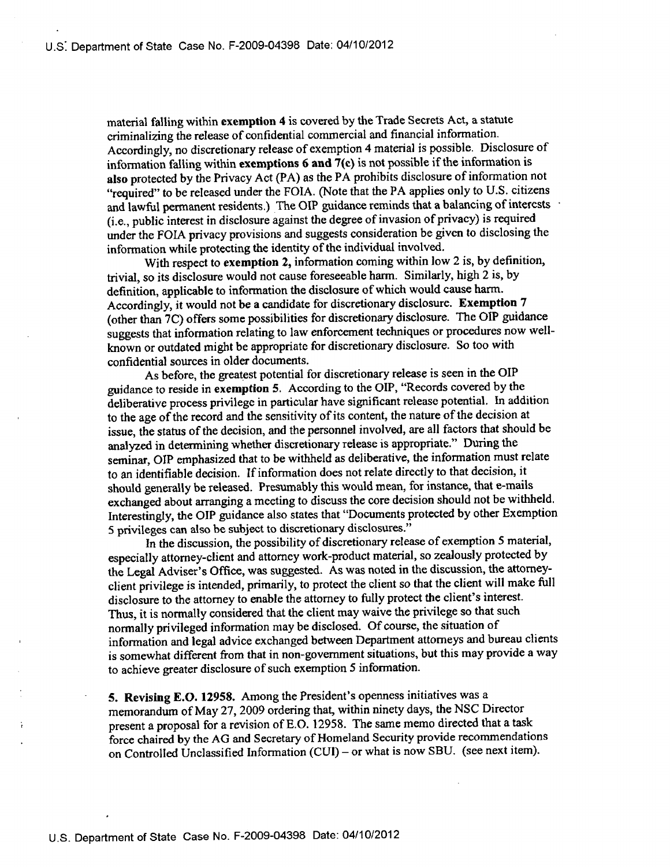material falling within exemption 4 is covered by the Trade Secrets Act, a statute criminalizing the release of confidential commercial and financial information. Accordingly, no discretionary release of exemption 4 material is possible. Disclosure of information falling within exemptions  $6$  and  $7(c)$  is not possible if the information is also protected by the Privacy Act (PA) as the PA prohibits disclosure of information not "required" to be released under the FOIA. (Note that the PA applies only to U.S. citizens and lawful permanent residents.) The OIP guidance reminds that a balancing of interests (i.e., public interest in disclosure against the degree of invasion of privacy) is required under the FOIA privacy provisions and suggests consideration be given to disclosing the information while protecting the identity of the individual involved.

With respect to exemption 2, information coming within low 2 is, by definition, trivial, so its disclosure would not cause foreseeable harm. Similarly, high 2 is, by definition, applicable to information the disclosure of which would cause harm. Accordingly, it would not be a candidate for discretionary disclosure. Exemption 7 (other than 7C) offers some possibilities for discretionary disclosure. The OIP guidance suggests that information relating to law enforcement techniques or procedures now wellknown or outdated might be appropriate for discretionary disclosure. So too with confidential sources in older documents.

As before, the greatest potential for discretionary release is seen in the OIP guidance to reside in exemption 5. According to the OIP, "Records covered by the deliberative process privilege in particular have significant release potential. In addition to the age of the record and the sensitivity of its content, the nature of the decision at issue, the status of the decision, and the personnel involved, are all factors that should be analyzed in determining whether discretionary release is appropriate." During the seminar, OIP emphasized that to be withheld as deliberative, the information must relate to an identifiable decision. If information does not relate directly to that decision, it should generally be released. Presumably this would mean, for instance, that e-mails exchanged about arranging a meeting to discuss the core decision should not be withheld. Interestingly, the OIP guidance also states that "Documents protected by other Exemption 5 privileges can also be subject to discretionary disclosures."

In the discussion, the possibility of discretionary release of exemption 5 material, especially attorney-client and attorney work-product material, so zealously protected by the Legal Adviser's Office, was suggested. As was noted in the discussion, the attorneyclient privilege is intended, primarily, to protect the client so that the client will make full disclosure to the attorney to enable the attorney to fully protect the client's interest. Thus, it is normally considered that the client may waive the privilege so that such normally privileged information may be disclosed. Of course, the situation of information and legal advice exchanged between Department attorneys and bureau clients is somewhat different from that in non-government situations, but this may provide a way to achieve greater disclosure of such exemption 5 information.

5. Revising E.O. 12958. Among the President's openness initiatives was a memorandum of May 27, 2009 ordering that, within ninety days, the NSC Director present a proposal for a revision of E.O. 12958. The same memo directed that a task force chaired by the AG and Secretary of Homeland Security provide recommendations on Controlled Unclassified Information (CUI) – or what is now SBU. (see next item).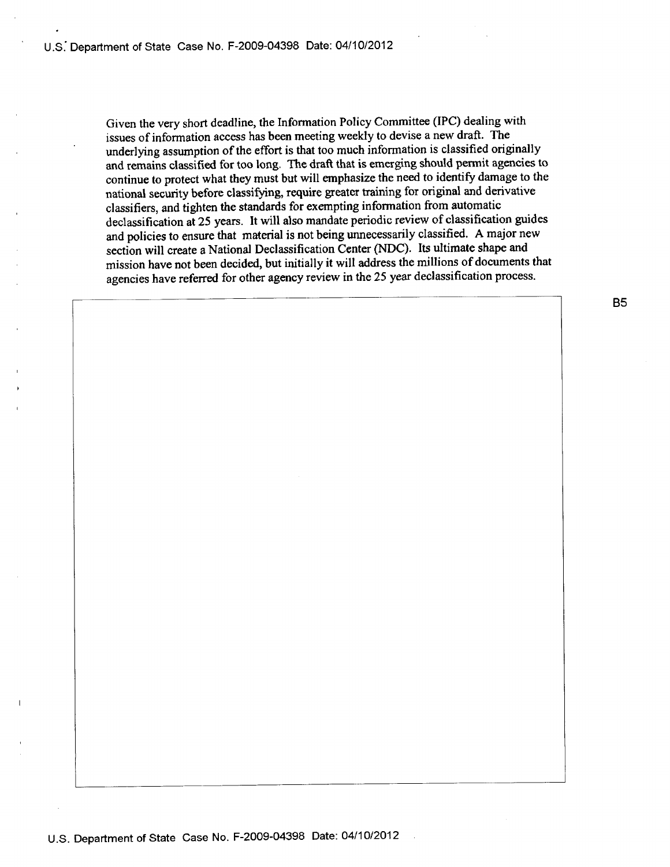Given the very short deadline, the Information Policy Committee (IPC) dealing with issues of information access has been meeting weekly to devise a new draft. The underlying assumption of the effort is that too much information is classified originally and remains classified for too long. The draft that is emerging should permit agencies to continue to protect what they must but will emphasize the need to identify damage to the national security before classifying, require greater training for original and derivative classifiers, and tighten the standards for exempting information from automatic declassification at 25 years. It will also mandate periodic review of classification guides and policies to ensure that material is not being unnecessarily classified. A major new section will create a National Declassification Center (NDC). Its ultimate shape and mission have not been decided, but initially it will address the millions of documents that agencies have referred for other agency review in the 25 year declassification process.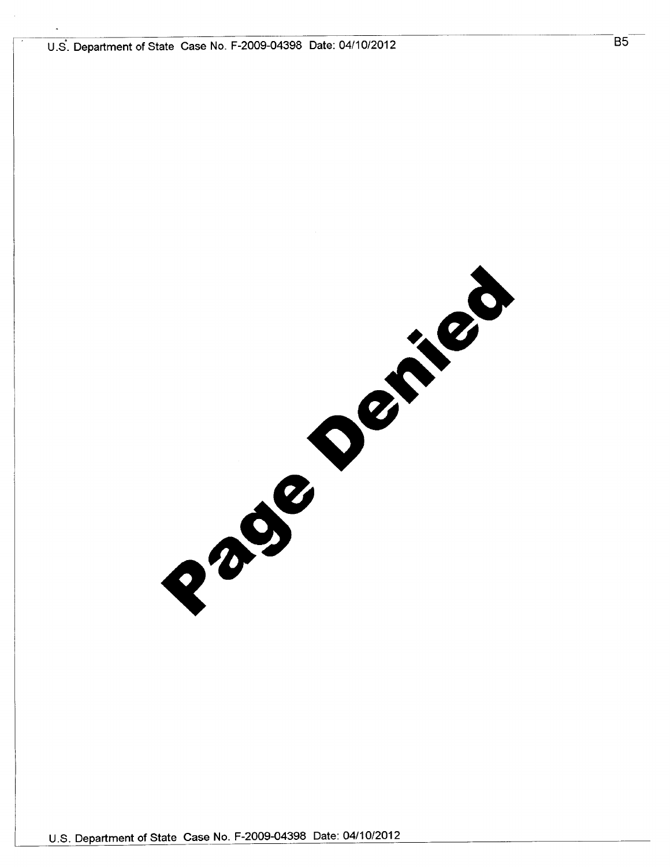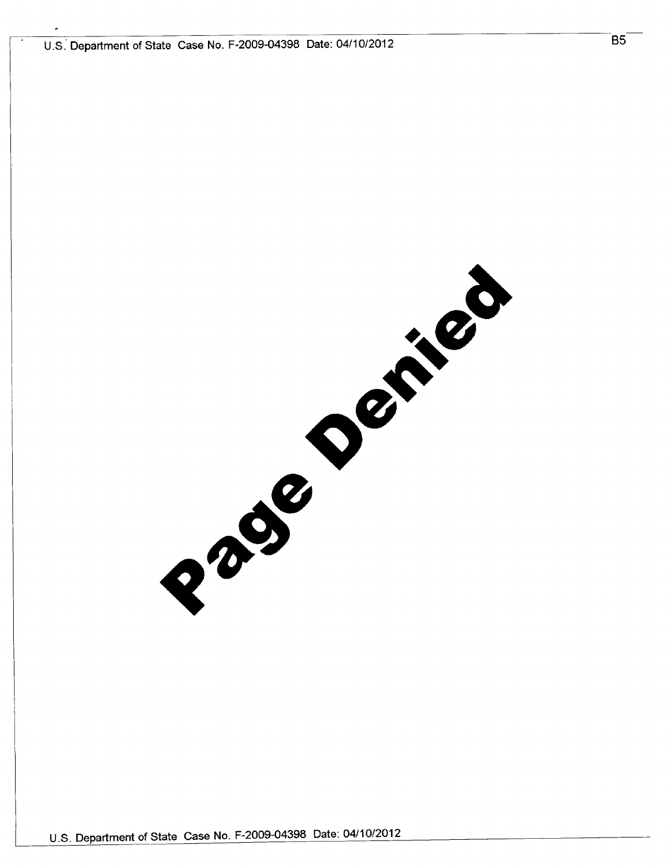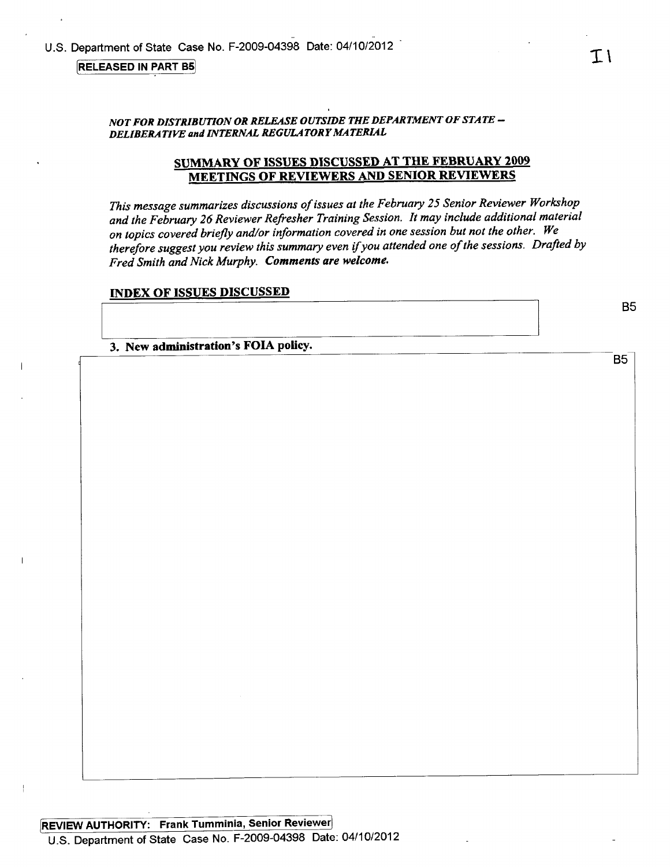#### **RELEASED IN PART B5**

# SUMMARY OF ISSUES DISCUSSED AT THE FEBRUARY 2009 **MEETINGS OF REVIEWERS AND SENIOR REVIEWERS**

This message summarizes discussions of issues at the February 25 Senior Reviewer Workshop and the February 26 Reviewer Refresher Training Session. It may include additional material on topics covered briefly and/or information covered in one session but not the other. We therefore suggest you review this summary even if you attended one of the sessions. Drafted by Fred Smith and Nick Murphy. Comments are welcome.

#### **INDEX OF ISSUES DISCUSSED**

3. New administration's FOIA policy.

**B5**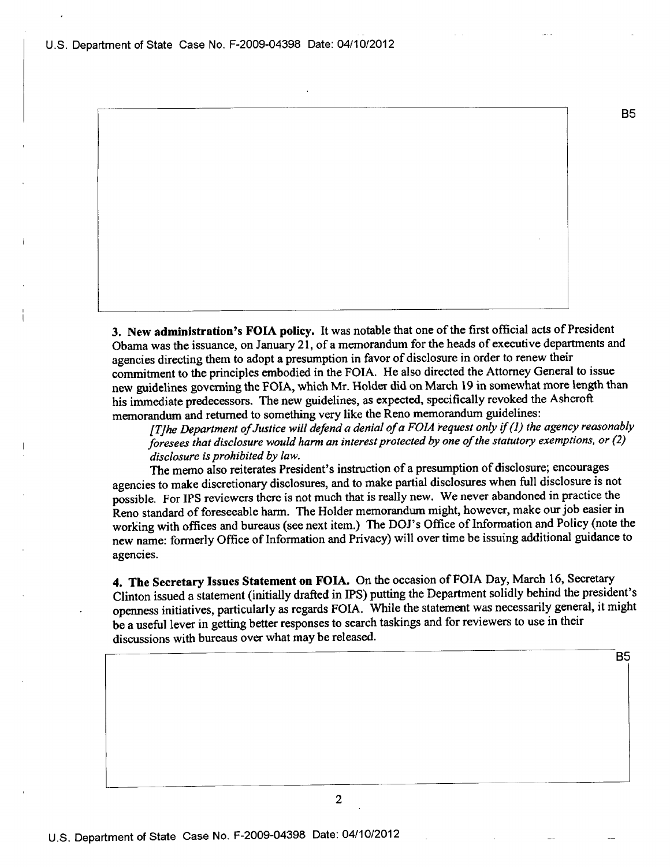U.S. Department of State Case No. F-2009-04398 Date: 04/10/2012

3. New administration's FOIA policy. It was notable that one of the first official acts of President Obama was the issuance, on January 21, of a memorandum for the heads of executive departments and agencies directing them to adopt a presumption in favor of disclosure in order to renew their commitment to the principles embodied in the FOIA. He also directed the Attorney General to issue new guidelines governing the FOIA, which Mr. Holder did on March 19 in somewhat more length than his immediate predecessors. The new guidelines, as expected, specifically revoked the Ashcroft memorandum and returned to something very like the Reno memorandum guidelines:

[T]he Department of Justice will defend a denial of a FOIA request only if (1) the agency reasonably foresees that disclosure would harm an interest protected by one of the statutory exemptions, or (2) disclosure is prohibited by law.

The memo also reiterates President's instruction of a presumption of disclosure; encourages agencies to make discretionary disclosures, and to make partial disclosures when full disclosure is not possible. For IPS reviewers there is not much that is really new. We never abandoned in practice the Reno standard of foreseeable harm. The Holder memorandum might, however, make our job easier in working with offices and bureaus (see next item.) The DOJ's Office of Information and Policy (note the new name: formerly Office of Information and Privacy) will over time be issuing additional guidance to agencies.

4. The Secretary Issues Statement on FOIA. On the occasion of FOIA Day, March 16, Secretary Clinton issued a statement (initially drafted in IPS) putting the Department solidly behind the president's openness initiatives, particularly as regards FOIA. While the statement was necessarily general, it might be a useful lever in getting better responses to search taskings and for reviewers to use in their discussions with bureaus over what may be released.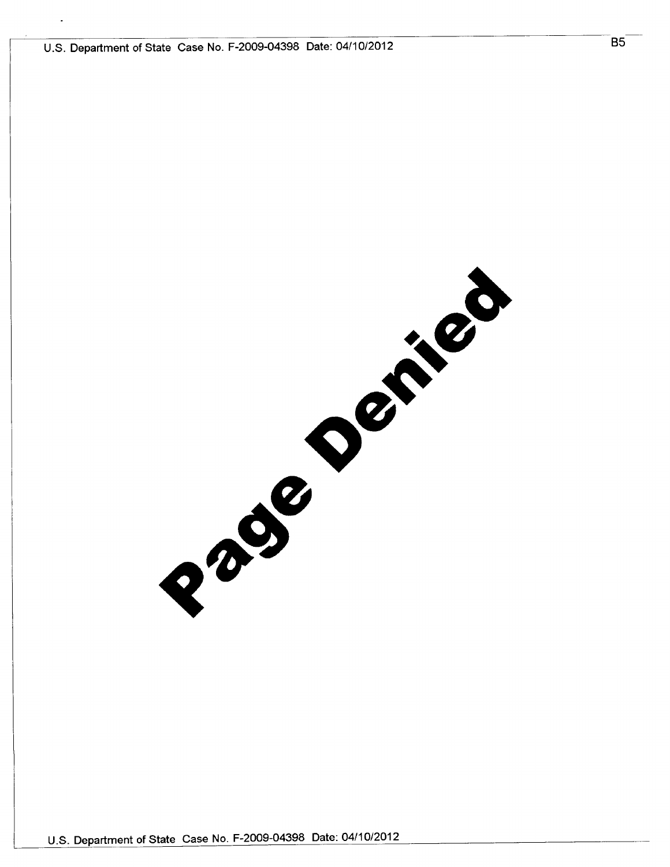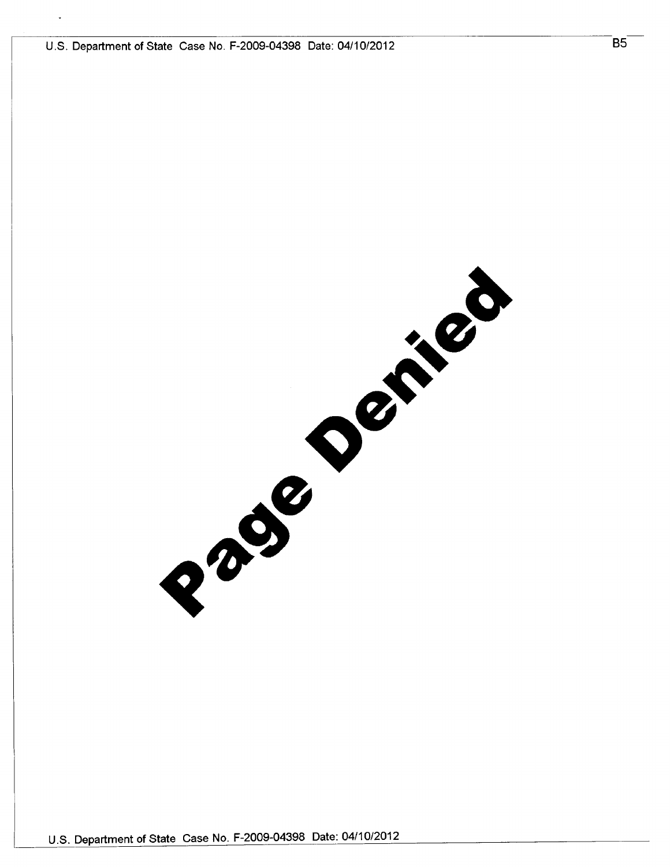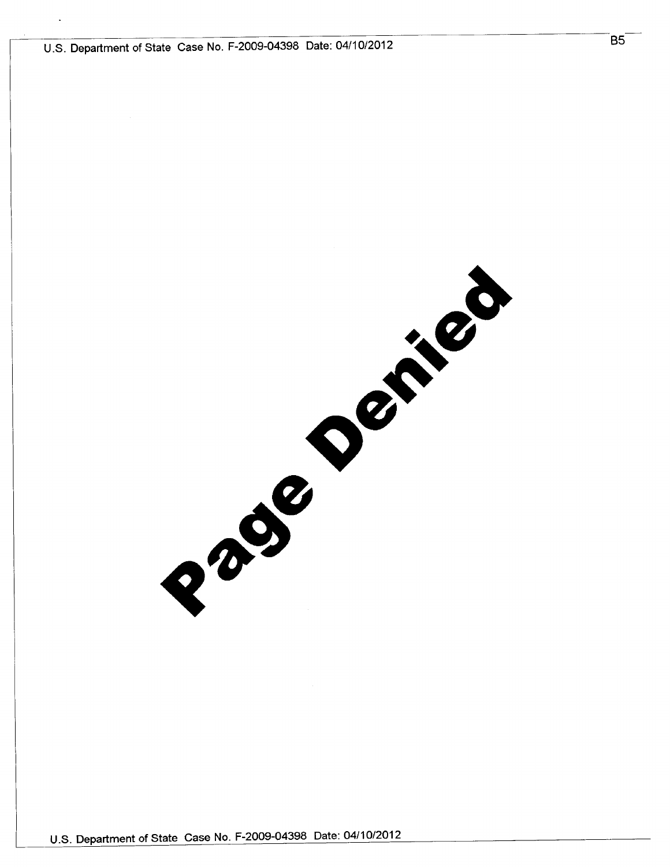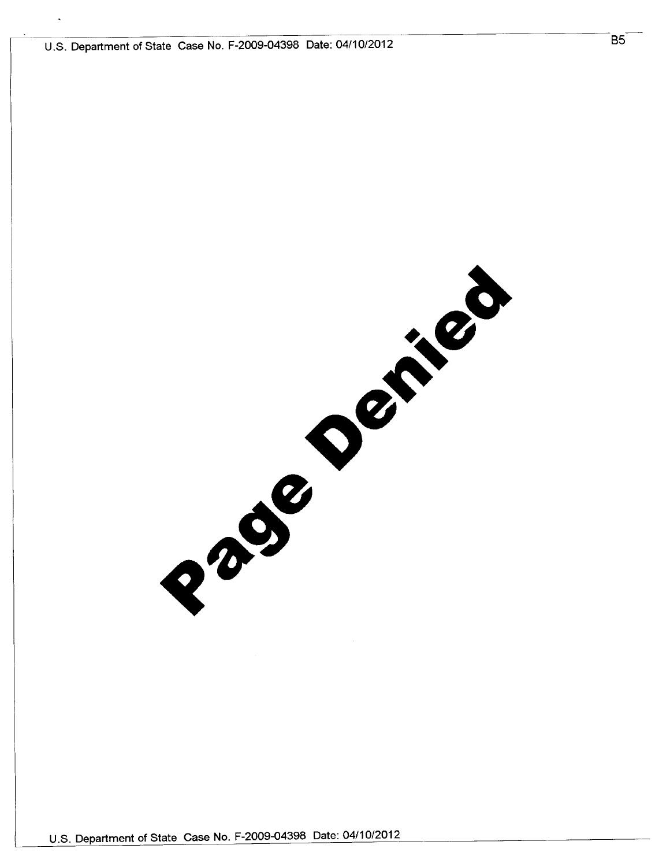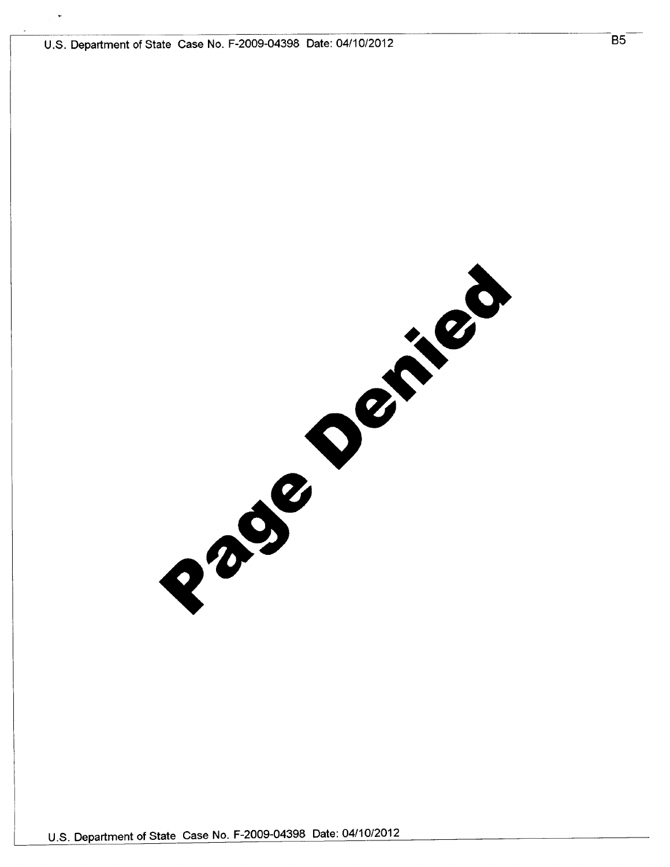